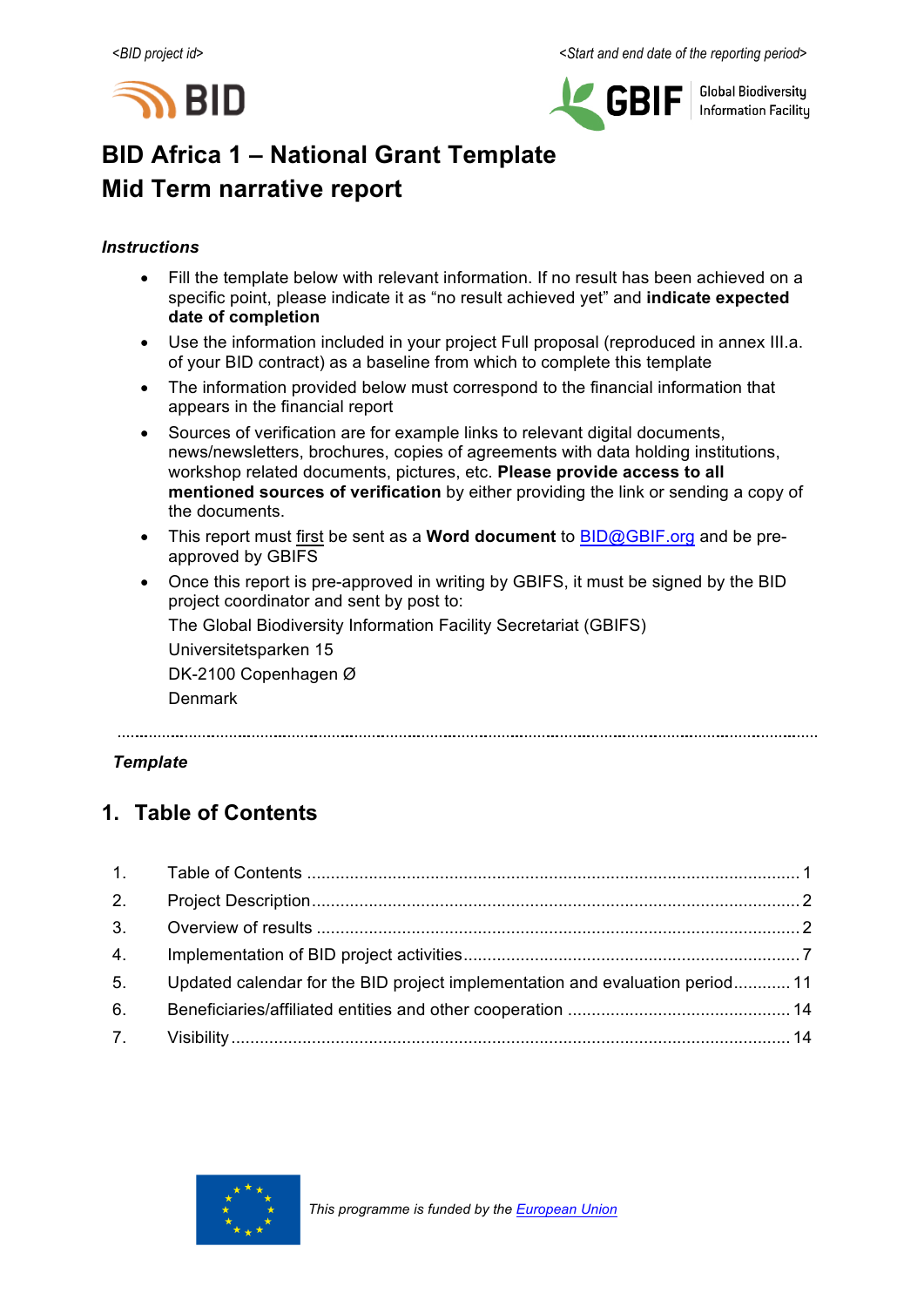



**Global Biodiversity Information Facility** 

# **BID Africa 1 – National Grant Template Mid Term narrative report**

## *Instructions*

- Fill the template below with relevant information. If no result has been achieved on a specific point, please indicate it as "no result achieved yet" and **indicate expected date of completion**
- Use the information included in your project Full proposal (reproduced in annex III.a. of your BID contract) as a baseline from which to complete this template
- The information provided below must correspond to the financial information that appears in the financial report
- Sources of verification are for example links to relevant digital documents, news/newsletters, brochures, copies of agreements with data holding institutions, workshop related documents, pictures, etc. **Please provide access to all mentioned sources of verification** by either providing the link or sending a copy of the documents.
- This report must first be sent as a **Word document** to BID@GBIF.org and be preapproved by GBIFS
- Once this report is pre-approved in writing by GBIFS, it must be signed by the BID project coordinator and sent by post to:

The Global Biodiversity Information Facility Secretariat (GBIFS)

Universitetsparken 15 DK-2100 Copenhagen Ø

Denmark

## *Template*

## **1. Table of Contents**

| 2. |                                                                              |  |
|----|------------------------------------------------------------------------------|--|
|    |                                                                              |  |
|    |                                                                              |  |
| 5. | Updated calendar for the BID project implementation and evaluation period 11 |  |
| 6. |                                                                              |  |
|    |                                                                              |  |

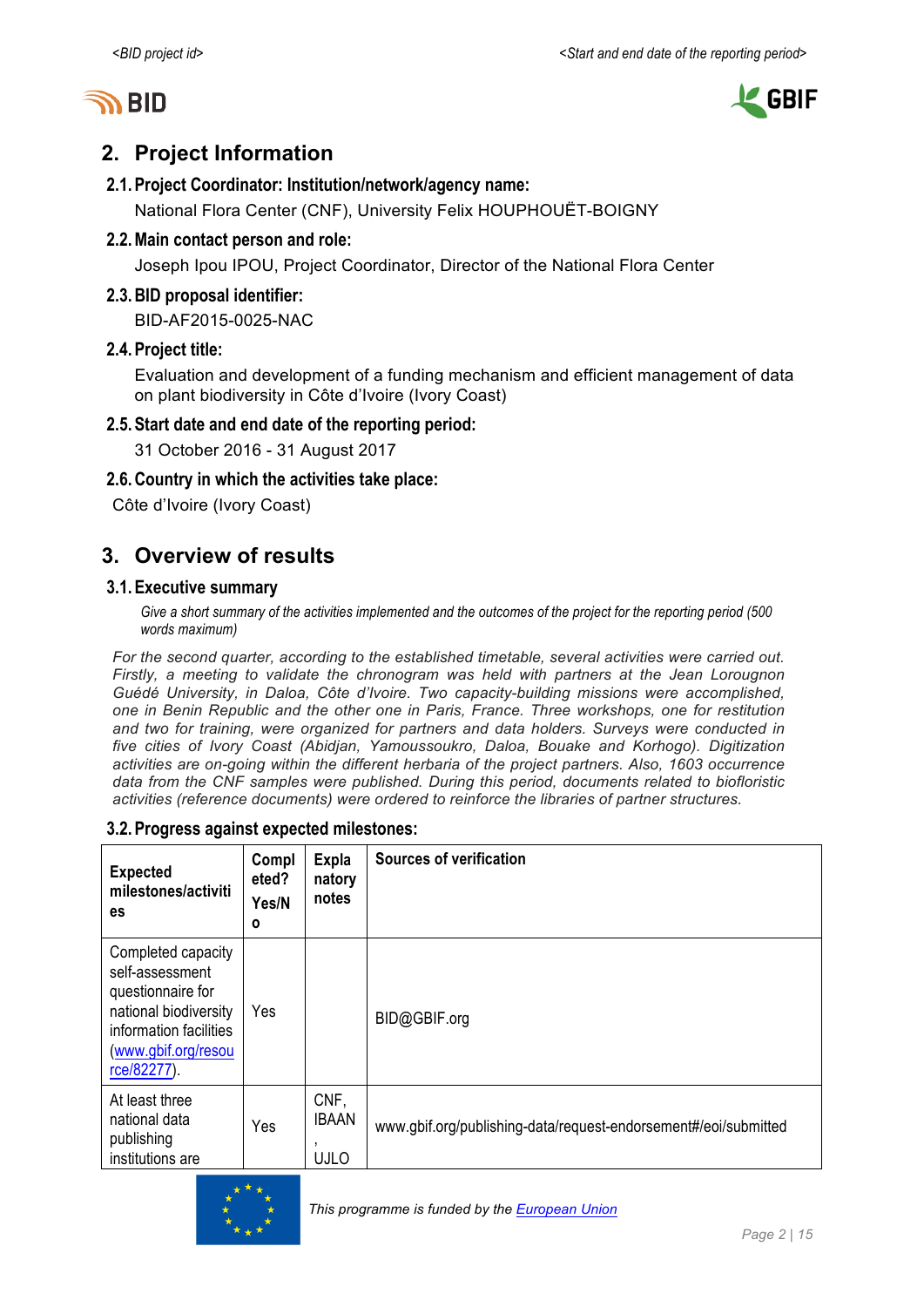



## **2. Project Information**

## **2.1.Project Coordinator: Institution/network/agency name:**

National Flora Center (CNF), University Felix HOUPHOUËT-BOIGNY

## **2.2.Main contact person and role:**

Joseph Ipou IPOU, Project Coordinator, Director of the National Flora Center

## **2.3.BID proposal identifier:**

BID-AF2015-0025-NAC

## **2.4.Project title:**

Evaluation and development of a funding mechanism and efficient management of data on plant biodiversity in Côte d'Ivoire (Ivory Coast)

## **2.5.Start date and end date of the reporting period:**

31 October 2016 - 31 August 2017

## **2.6.Country in which the activities take place:**

Côte d'Ivoire (Ivory Coast)

## **3. Overview of results**

## **3.1.Executive summary**

*Give a short summary of the activities implemented and the outcomes of the project for the reporting period (500 words maximum)*

*For the second quarter, according to the established timetable, several activities were carried out. Firstly, a meeting to validate the chronogram was held with partners at the Jean Lorougnon Guédé University, in Daloa, Côte d'Ivoire. Two capacity-building missions were accomplished, one in Benin Republic and the other one in Paris, France. Three workshops, one for restitution and two for training, were organized for partners and data holders. Surveys were conducted in five cities of Ivory Coast (Abidjan, Yamoussoukro, Daloa, Bouake and Korhogo). Digitization activities are on-going within the different herbaria of the project partners. Also, 1603 occurrence data from the CNF samples were published. During this period, documents related to biofloristic activities (reference documents) were ordered to reinforce the libraries of partner structures.*

#### **3.2.Progress against expected milestones:**

| <b>Expected</b><br>milestones/activiti<br><b>es</b>                                                                                                 | Compl<br>eted?<br>Yes/N<br>O | <b>Expla</b><br>natory<br>notes          | <b>Sources of verification</b>                                  |
|-----------------------------------------------------------------------------------------------------------------------------------------------------|------------------------------|------------------------------------------|-----------------------------------------------------------------|
| Completed capacity<br>self-assessment<br>questionnaire for<br>national biodiversity<br>information facilities<br>(www.gbif.org/resou<br>rce/82277). | Yes                          |                                          | BID@GBIF.org                                                    |
| At least three<br>national data<br>publishing<br>institutions are                                                                                   | Yes                          | CNF,<br><b>IBAAN</b><br>,<br><b>UJLO</b> | www.gbif.org/publishing-data/request-endorsement#/eoi/submitted |

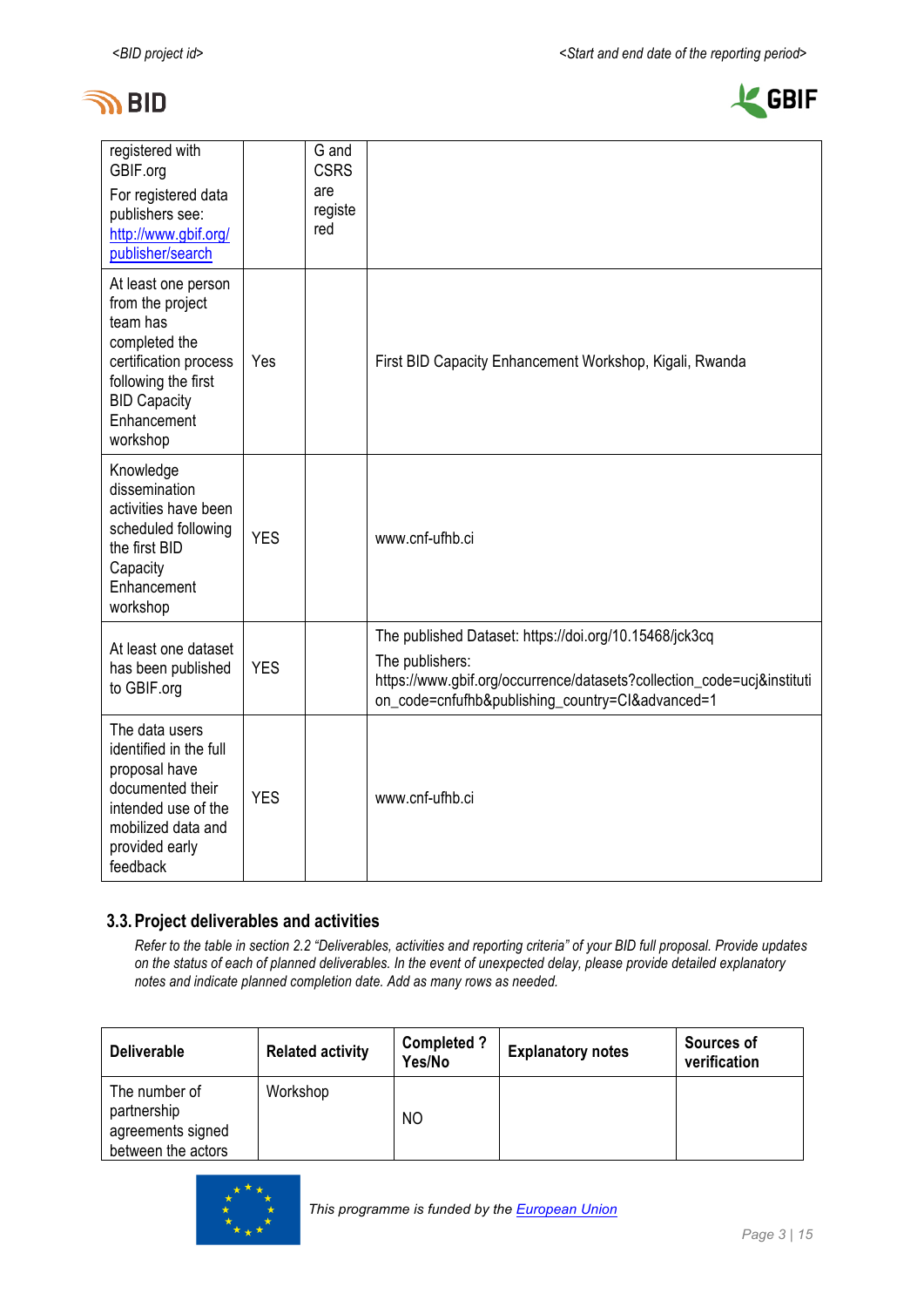



| registered with<br>GBIF.org<br>For registered data<br>publishers see:<br>http://www.gbif.org/<br>publisher/search                                                      |            | G and<br><b>CSRS</b><br>are<br>registe<br>red |                                                                                                                                                                                                         |
|------------------------------------------------------------------------------------------------------------------------------------------------------------------------|------------|-----------------------------------------------|---------------------------------------------------------------------------------------------------------------------------------------------------------------------------------------------------------|
| At least one person<br>from the project<br>team has<br>completed the<br>certification process<br>following the first<br><b>BID Capacity</b><br>Enhancement<br>workshop | Yes        |                                               | First BID Capacity Enhancement Workshop, Kigali, Rwanda                                                                                                                                                 |
| Knowledge<br>dissemination<br>activities have been<br>scheduled following<br>the first BID<br>Capacity<br>Enhancement<br>workshop                                      | <b>YES</b> |                                               | www.cnf-ufhb.ci                                                                                                                                                                                         |
| At least one dataset<br>has been published<br>to GBIF.org                                                                                                              | <b>YES</b> |                                               | The published Dataset: https://doi.org/10.15468/jck3cq<br>The publishers:<br>https://www.gbif.org/occurrence/datasets?collection_code=ucj&instituti<br>on_code=cnfufhb&publishing_country=Cl&advanced=1 |
| The data users<br>identified in the full<br>proposal have<br>documented their<br>intended use of the<br>mobilized data and<br>provided early<br>feedback               | <b>YES</b> |                                               | www.cnf-ufhb.ci                                                                                                                                                                                         |

#### **3.3.Project deliverables and activities**

*Refer to the table in section 2.2 "Deliverables, activities and reporting criteria" of your BID full proposal. Provide updates on the status of each of planned deliverables. In the event of unexpected delay, please provide detailed explanatory notes and indicate planned completion date. Add as many rows as needed.*

| <b>Deliverable</b>                                                      | <b>Related activity</b> | <b>Completed?</b><br>Yes/No | <b>Explanatory notes</b> | Sources of<br>verification |
|-------------------------------------------------------------------------|-------------------------|-----------------------------|--------------------------|----------------------------|
| The number of<br>partnership<br>agreements signed<br>between the actors | Workshop                | N <sub>O</sub>              |                          |                            |

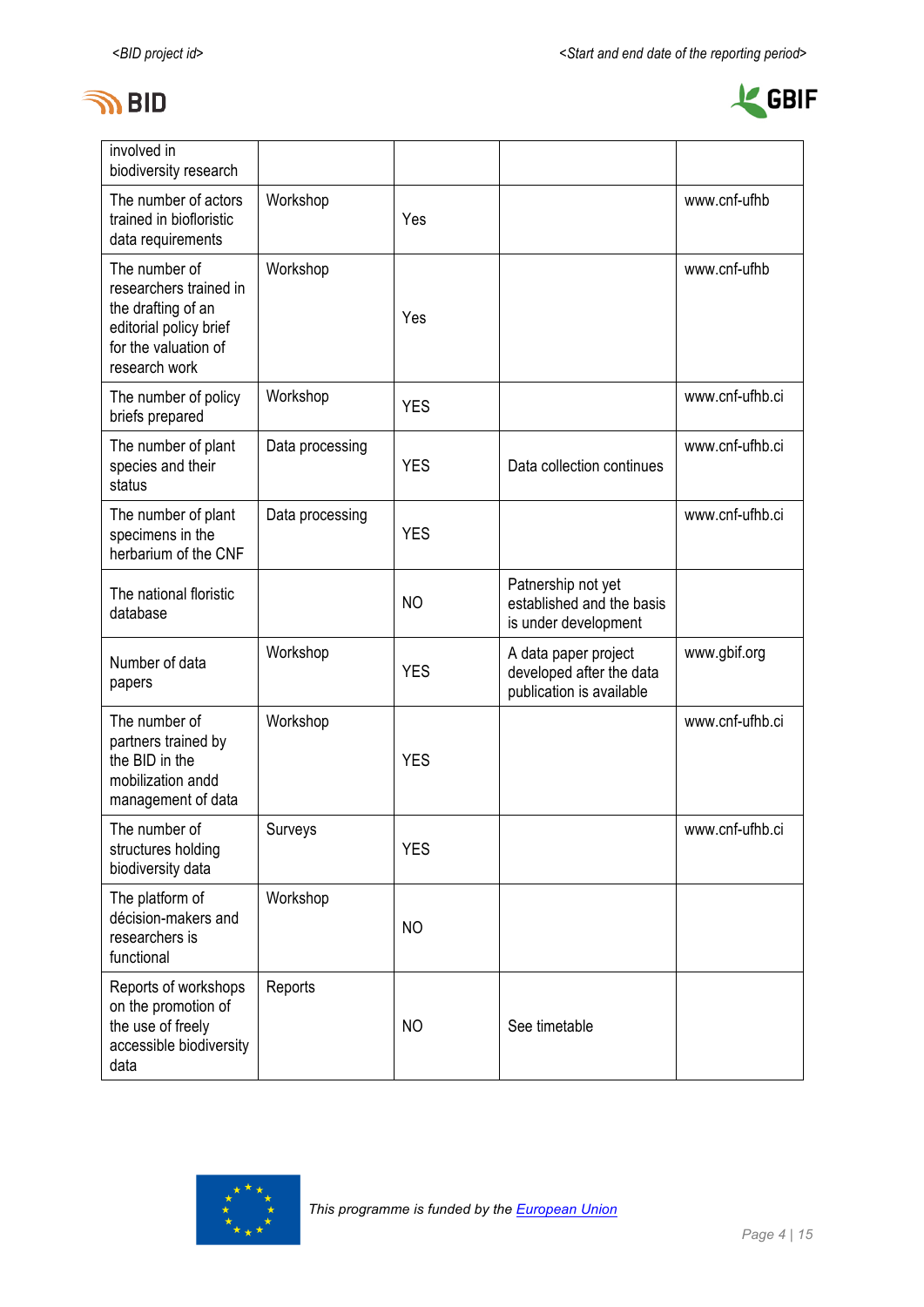



| involved in<br>biodiversity research                                                                                             |                 |                |                                                                              |                 |
|----------------------------------------------------------------------------------------------------------------------------------|-----------------|----------------|------------------------------------------------------------------------------|-----------------|
| The number of actors<br>trained in biofloristic<br>data requirements                                                             | Workshop        | Yes            |                                                                              | www.cnf-ufhb    |
| The number of<br>researchers trained in<br>the drafting of an<br>editorial policy brief<br>for the valuation of<br>research work | Workshop        | Yes            |                                                                              | www.cnf-ufhb    |
| The number of policy<br>briefs prepared                                                                                          | Workshop        | <b>YES</b>     |                                                                              | www.cnf-ufhb.ci |
| The number of plant<br>species and their<br>status                                                                               | Data processing | <b>YES</b>     | Data collection continues                                                    | www.cnf-ufhb.ci |
| The number of plant<br>specimens in the<br>herbarium of the CNF                                                                  | Data processing | <b>YES</b>     |                                                                              | www.cnf-ufhb.ci |
| The national floristic<br>database                                                                                               |                 | N <sub>O</sub> | Patnership not yet<br>established and the basis<br>is under development      |                 |
| Number of data<br>papers                                                                                                         | Workshop        | <b>YES</b>     | A data paper project<br>developed after the data<br>publication is available | www.gbif.org    |
| The number of<br>partners trained by<br>the BID in the<br>mobilization andd<br>management of data                                | Workshop        | <b>YES</b>     |                                                                              | www.cnf-ufhb.ci |
| The number of<br>structures holding<br>biodiversity data                                                                         | Surveys         | <b>YES</b>     |                                                                              | www.cnf-ufhb.ci |
| The platform of<br>décision-makers and<br>researchers is<br>functional                                                           | Workshop        | N <sub>O</sub> |                                                                              |                 |
| Reports of workshops<br>on the promotion of<br>the use of freely<br>accessible biodiversity<br>data                              | Reports         | <b>NO</b>      | See timetable                                                                |                 |

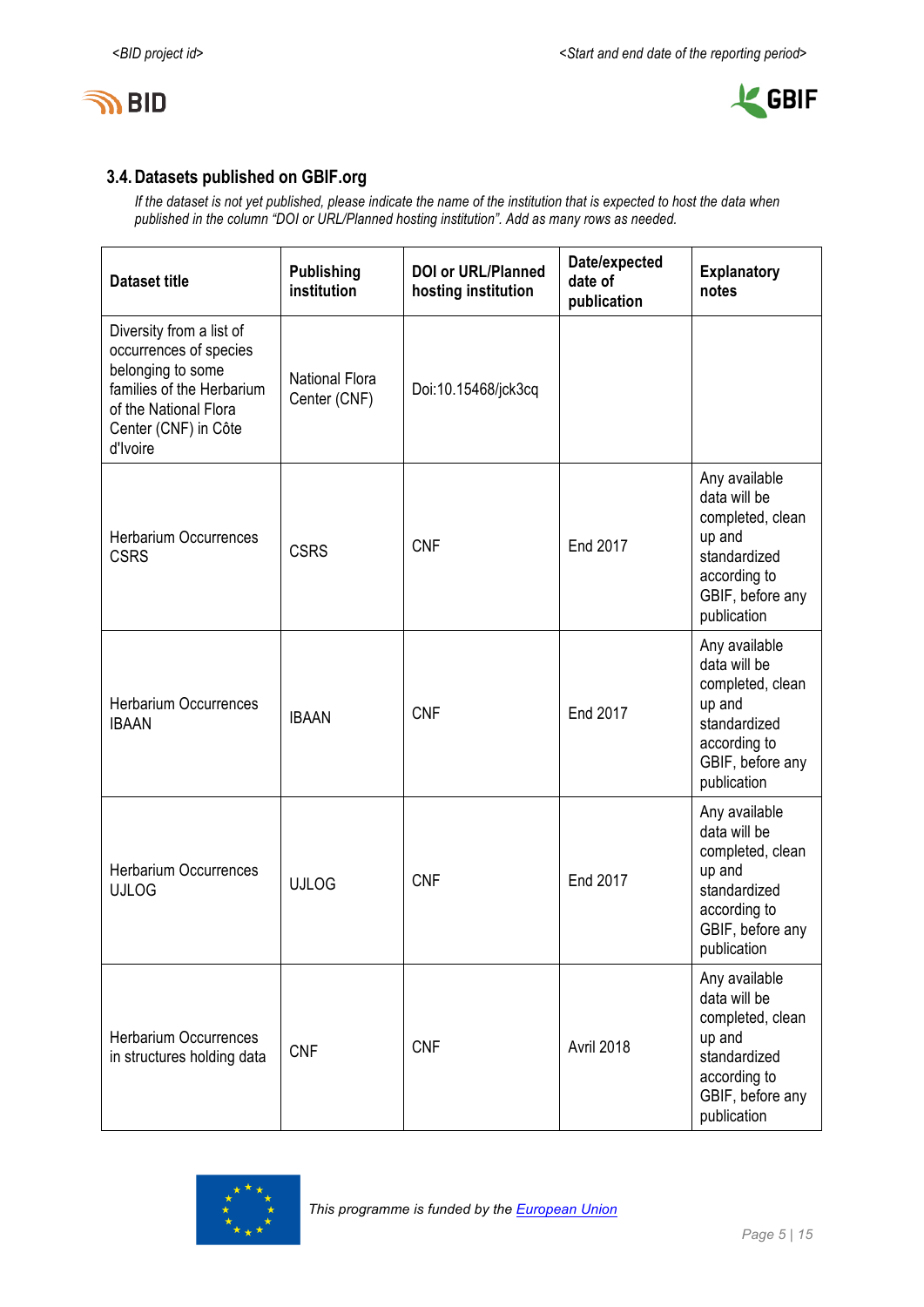



## **3.4.Datasets published on GBIF.org**

*If the dataset is not yet published, please indicate the name of the institution that is expected to host the data when published in the column "DOI or URL/Planned hosting institution". Add as many rows as needed.*

| <b>Dataset title</b>                                                                                                                                              | <b>Publishing</b><br>institution      | <b>DOI or URL/Planned</b><br>hosting institution | Date/expected<br>date of<br>publication | <b>Explanatory</b><br>notes                                                                                                    |
|-------------------------------------------------------------------------------------------------------------------------------------------------------------------|---------------------------------------|--------------------------------------------------|-----------------------------------------|--------------------------------------------------------------------------------------------------------------------------------|
| Diversity from a list of<br>occurrences of species<br>belonging to some<br>families of the Herbarium<br>of the National Flora<br>Center (CNF) in Côte<br>d'Ivoire | <b>National Flora</b><br>Center (CNF) | Doi:10.15468/jck3cq                              |                                         |                                                                                                                                |
| <b>Herbarium Occurrences</b><br><b>CSRS</b>                                                                                                                       | <b>CSRS</b>                           | <b>CNF</b>                                       | End 2017                                | Any available<br>data will be<br>completed, clean<br>up and<br>standardized<br>according to<br>GBIF, before any<br>publication |
| <b>Herbarium Occurrences</b><br><b>IBAAN</b>                                                                                                                      | <b>IBAAN</b>                          | <b>CNF</b>                                       | End 2017                                | Any available<br>data will be<br>completed, clean<br>up and<br>standardized<br>according to<br>GBIF, before any<br>publication |
| Herbarium Occurrences<br><b>UJLOG</b>                                                                                                                             | <b>UJLOG</b>                          | <b>CNF</b>                                       | End 2017                                | Any available<br>data will be<br>completed, clean<br>up and<br>standardized<br>according to<br>GBIF, before any<br>publication |
| <b>Herbarium Occurrences</b><br>in structures holding data                                                                                                        | <b>CNF</b>                            | <b>CNF</b>                                       | Avril 2018                              | Any available<br>data will be<br>completed, clean<br>up and<br>standardized<br>according to<br>GBIF, before any<br>publication |

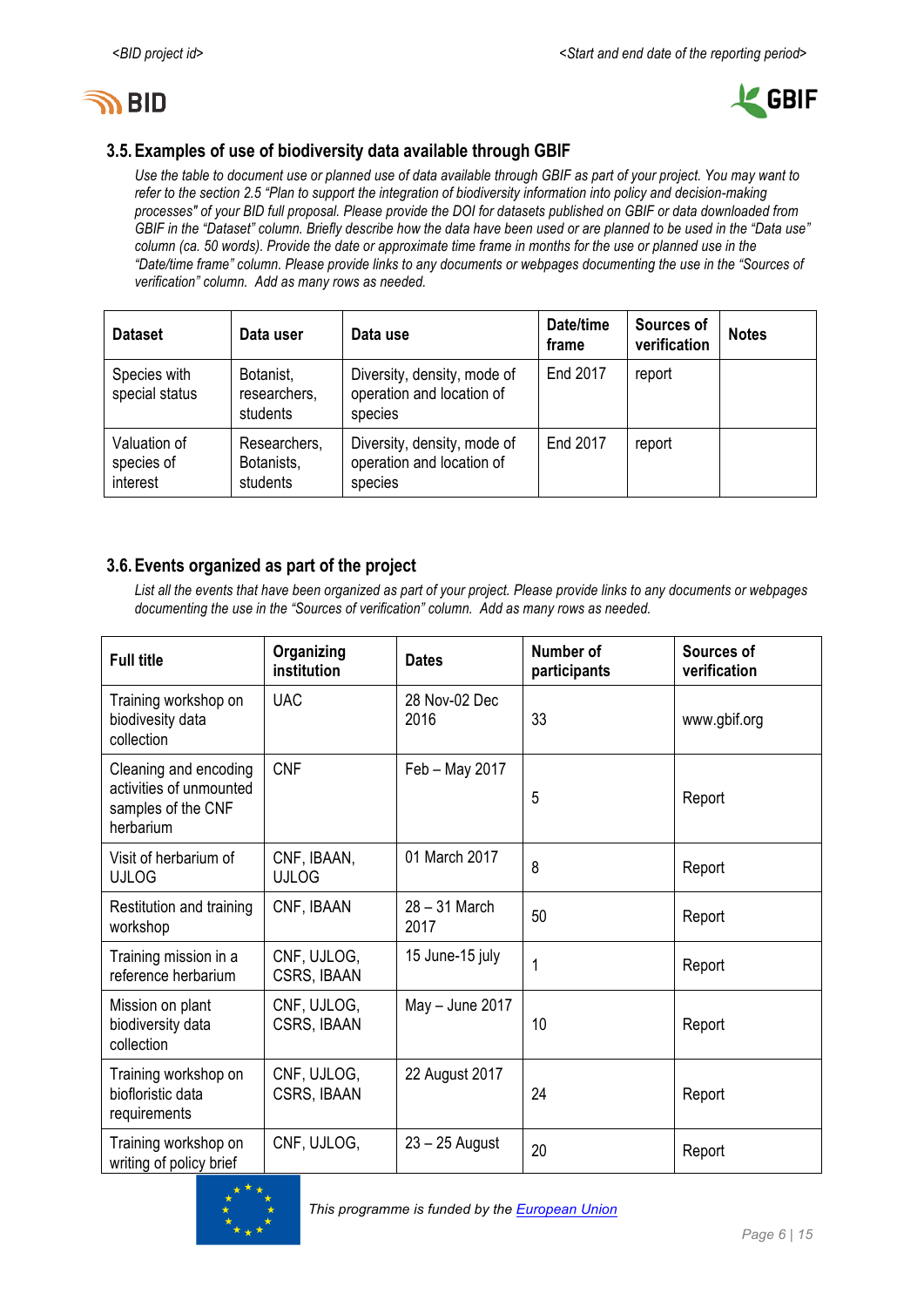



## **3.5.Examples of use of biodiversity data available through GBIF**

*Use the table to document use or planned use of data available through GBIF as part of your project. You may want to refer to the section 2.5 "Plan to support the integration of biodiversity information into policy and decision-making processes" of your BID full proposal. Please provide the DOI for datasets published on GBIF or data downloaded from GBIF in the "Dataset" column. Briefly describe how the data have been used or are planned to be used in the "Data use" column (ca. 50 words). Provide the date or approximate time frame in months for the use or planned use in the "Date/time frame" column. Please provide links to any documents or webpages documenting the use in the "Sources of verification" column. Add as many rows as needed.*

| <b>Dataset</b>                         | Data user                              | Data use                                                            | Date/time<br>frame | Sources of<br>verification | <b>Notes</b> |
|----------------------------------------|----------------------------------------|---------------------------------------------------------------------|--------------------|----------------------------|--------------|
| Species with<br>special status         | Botanist,<br>researchers,<br>students  | Diversity, density, mode of<br>operation and location of<br>species | End 2017           | report                     |              |
| Valuation of<br>species of<br>interest | Researchers,<br>Botanists,<br>students | Diversity, density, mode of<br>operation and location of<br>species | End 2017           | report                     |              |

## **3.6.Events organized as part of the project**

*List all the events that have been organized as part of your project. Please provide links to any documents or webpages documenting the use in the "Sources of verification" column. Add as many rows as needed.*

| <b>Full title</b>                                                                   | Organizing<br>institution   | <b>Dates</b>          | Number of<br>participants | Sources of<br>verification |
|-------------------------------------------------------------------------------------|-----------------------------|-----------------------|---------------------------|----------------------------|
| Training workshop on<br>biodivesity data<br>collection                              | <b>UAC</b>                  | 28 Nov-02 Dec<br>2016 | 33                        | www.gbif.org               |
| Cleaning and encoding<br>activities of unmounted<br>samples of the CNF<br>herbarium | <b>CNF</b>                  | Feb - May 2017        | 5                         | Report                     |
| Visit of herbarium of<br><b>UJLOG</b>                                               | CNF, IBAAN,<br><b>UJLOG</b> | 01 March 2017         | 8                         | Report                     |
| Restitution and training<br>workshop                                                | CNF, IBAAN                  | 28 - 31 March<br>2017 | 50                        | Report                     |
| Training mission in a<br>reference herbarium                                        | CNF, UJLOG,<br>CSRS, IBAAN  | 15 June-15 july       | 1                         | Report                     |
| Mission on plant<br>biodiversity data<br>collection                                 | CNF, UJLOG,<br>CSRS, IBAAN  | May $-$ June 2017     | 10                        | Report                     |
| Training workshop on<br>biofloristic data<br>requirements                           | CNF, UJLOG,<br>CSRS, IBAAN  | 22 August 2017        | 24                        | Report                     |
| Training workshop on<br>writing of policy brief                                     | CNF, UJLOG,                 | $23 - 25$ August      | 20                        | Report                     |

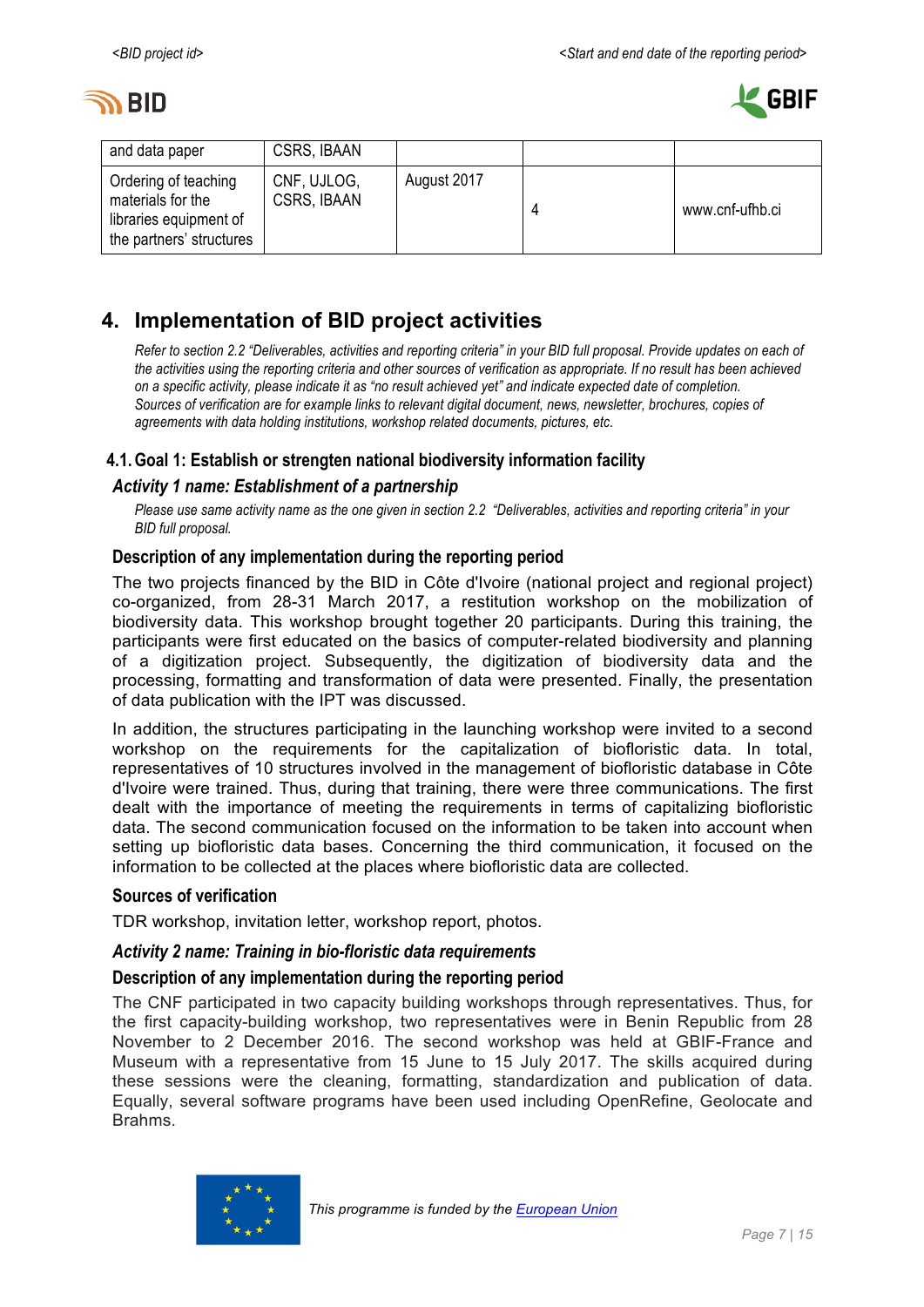



| and data paper                                                                                  | CSRS, IBAAN                       |             |                 |
|-------------------------------------------------------------------------------------------------|-----------------------------------|-------------|-----------------|
| Ordering of teaching<br>materials for the<br>libraries equipment of<br>the partners' structures | CNF, UJLOG,<br><b>CSRS, IBAAN</b> | August 2017 | www.cnf-ufhb.ci |

## **4. Implementation of BID project activities**

*Refer to section 2.2 "Deliverables, activities and reporting criteria" in your BID full proposal. Provide updates on each of the activities using the reporting criteria and other sources of verification as appropriate. If no result has been achieved on a specific activity, please indicate it as "no result achieved yet" and indicate expected date of completion. Sources of verification are for example links to relevant digital document, news, newsletter, brochures, copies of agreements with data holding institutions, workshop related documents, pictures, etc.*

## **4.1.Goal 1: Establish or strengten national biodiversity information facility**

## *Activity 1 name: Establishment of a partnership*

*Please use same activity name as the one given in section 2.2 "Deliverables, activities and reporting criteria" in your BID full proposal.*

## **Description of any implementation during the reporting period**

The two projects financed by the BID in Côte d'Ivoire (national project and regional project) co-organized, from 28-31 March 2017, a restitution workshop on the mobilization of biodiversity data. This workshop brought together 20 participants. During this training, the participants were first educated on the basics of computer-related biodiversity and planning of a digitization project. Subsequently, the digitization of biodiversity data and the processing, formatting and transformation of data were presented. Finally, the presentation of data publication with the IPT was discussed.

In addition, the structures participating in the launching workshop were invited to a second workshop on the requirements for the capitalization of biofloristic data. In total, representatives of 10 structures involved in the management of biofloristic database in Côte d'Ivoire were trained. Thus, during that training, there were three communications. The first dealt with the importance of meeting the requirements in terms of capitalizing biofloristic data. The second communication focused on the information to be taken into account when setting up biofloristic data bases. Concerning the third communication, it focused on the information to be collected at the places where biofloristic data are collected.

#### **Sources of verification**

TDR workshop, invitation letter, workshop report, photos.

#### *Activity 2 name: Training in bio-floristic data requirements*

## **Description of any implementation during the reporting period**

The CNF participated in two capacity building workshops through representatives. Thus, for the first capacity-building workshop, two representatives were in Benin Republic from 28 November to 2 December 2016. The second workshop was held at GBIF-France and Museum with a representative from 15 June to 15 July 2017. The skills acquired during these sessions were the cleaning, formatting, standardization and publication of data. Equally, several software programs have been used including OpenRefine, Geolocate and Brahms.

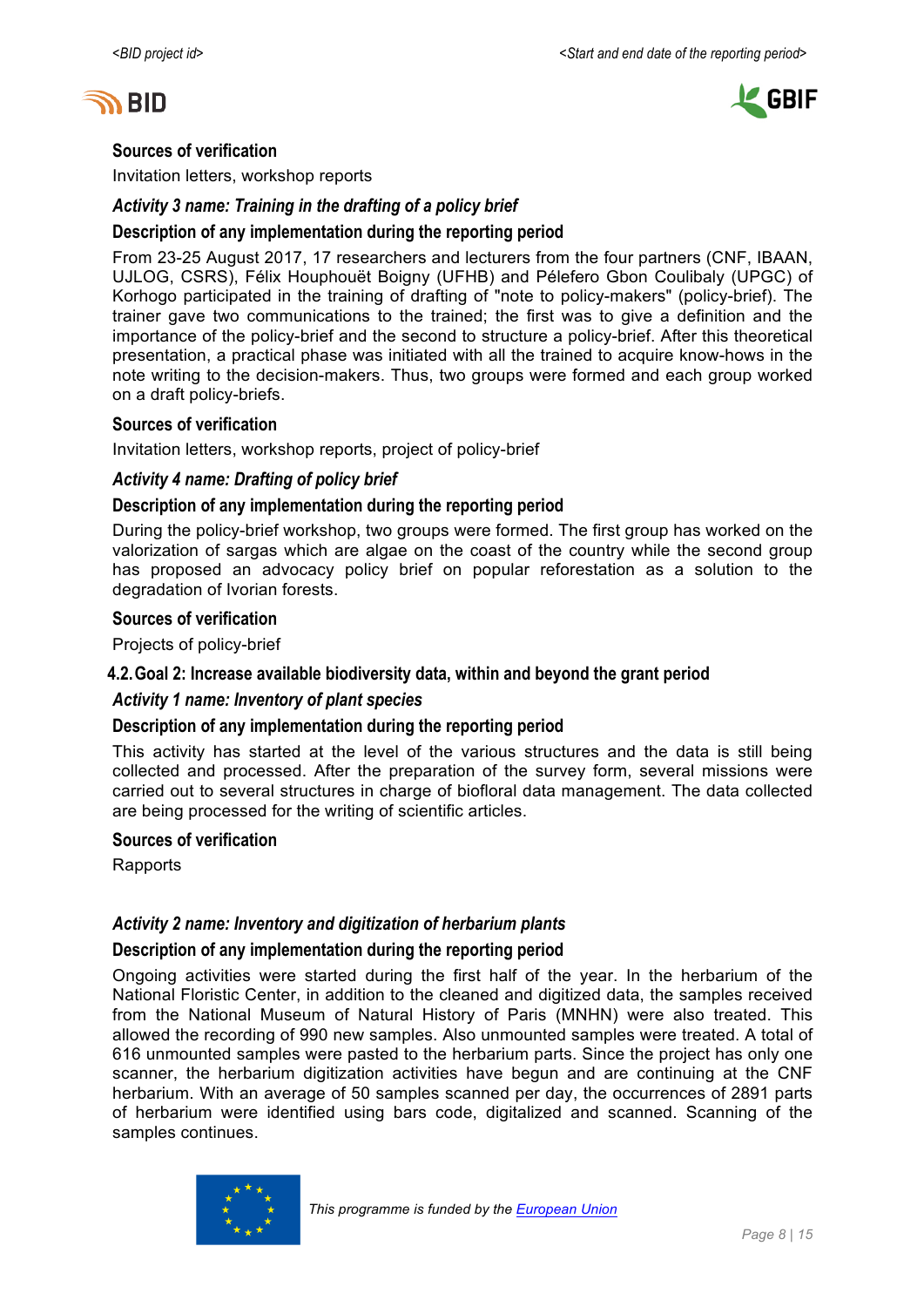



#### **Sources of verification**

Invitation letters, workshop reports

#### *Activity 3 name: Training in the drafting of a policy brief*

#### **Description of any implementation during the reporting period**

From 23-25 August 2017, 17 researchers and lecturers from the four partners (CNF, IBAAN, UJLOG, CSRS), Félix Houphouët Boigny (UFHB) and Pélefero Gbon Coulibaly (UPGC) of Korhogo participated in the training of drafting of "note to policy-makers" (policy-brief). The trainer gave two communications to the trained; the first was to give a definition and the importance of the policy-brief and the second to structure a policy-brief. After this theoretical presentation, a practical phase was initiated with all the trained to acquire know-hows in the note writing to the decision-makers. Thus, two groups were formed and each group worked on a draft policy-briefs.

#### **Sources of verification**

Invitation letters, workshop reports, project of policy-brief

#### *Activity 4 name: Drafting of policy brief*

#### **Description of any implementation during the reporting period**

During the policy-brief workshop, two groups were formed. The first group has worked on the valorization of sargas which are algae on the coast of the country while the second group has proposed an advocacy policy brief on popular reforestation as a solution to the degradation of Ivorian forests.

#### **Sources of verification**

Projects of policy-brief

#### **4.2.Goal 2: Increase available biodiversity data, within and beyond the grant period**

#### *Activity 1 name: Inventory of plant species*

#### **Description of any implementation during the reporting period**

This activity has started at the level of the various structures and the data is still being collected and processed. After the preparation of the survey form, several missions were carried out to several structures in charge of biofloral data management. The data collected are being processed for the writing of scientific articles.

#### **Sources of verification**

Rapports

#### *Activity 2 name: Inventory and digitization of herbarium plants*

#### **Description of any implementation during the reporting period**

Ongoing activities were started during the first half of the year. In the herbarium of the National Floristic Center, in addition to the cleaned and digitized data, the samples received from the National Museum of Natural History of Paris (MNHN) were also treated. This allowed the recording of 990 new samples. Also unmounted samples were treated. A total of 616 unmounted samples were pasted to the herbarium parts. Since the project has only one scanner, the herbarium digitization activities have begun and are continuing at the CNF herbarium. With an average of 50 samples scanned per day, the occurrences of 2891 parts of herbarium were identified using bars code, digitalized and scanned. Scanning of the samples continues.

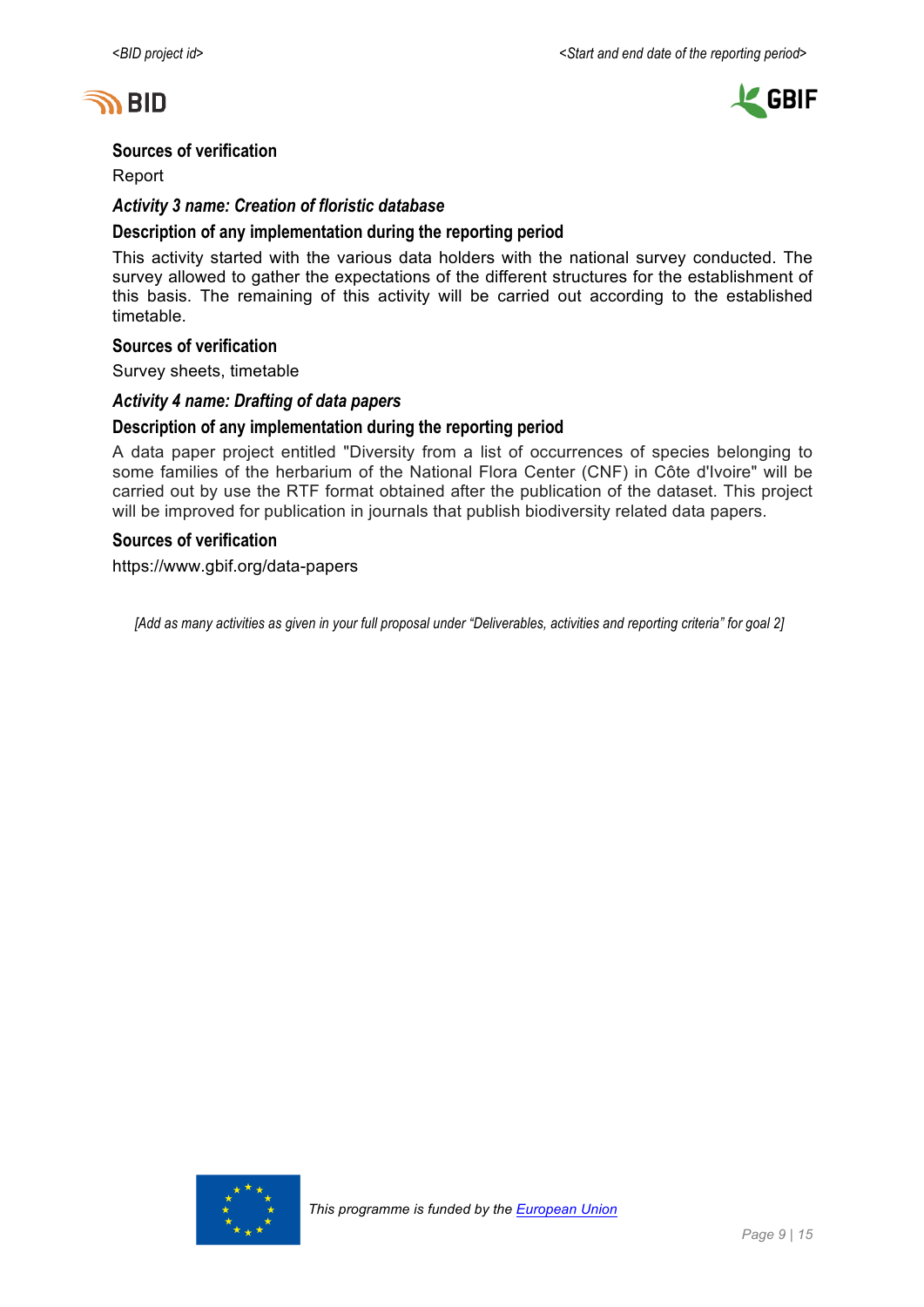



#### **Sources of verification**

Report

#### *Activity 3 name: Creation of floristic database*

#### **Description of any implementation during the reporting period**

This activity started with the various data holders with the national survey conducted. The survey allowed to gather the expectations of the different structures for the establishment of this basis. The remaining of this activity will be carried out according to the established timetable.

#### **Sources of verification**

Survey sheets, timetable

### *Activity 4 name: Drafting of data papers*

#### **Description of any implementation during the reporting period**

A data paper project entitled "Diversity from a list of occurrences of species belonging to some families of the herbarium of the National Flora Center (CNF) in Côte d'Ivoire" will be carried out by use the RTF format obtained after the publication of the dataset. This project will be improved for publication in journals that publish biodiversity related data papers.

#### **Sources of verification**

https://www.gbif.org/data-papers

*[Add as many activities as given in your full proposal under "Deliverables, activities and reporting criteria" for goal 2]*

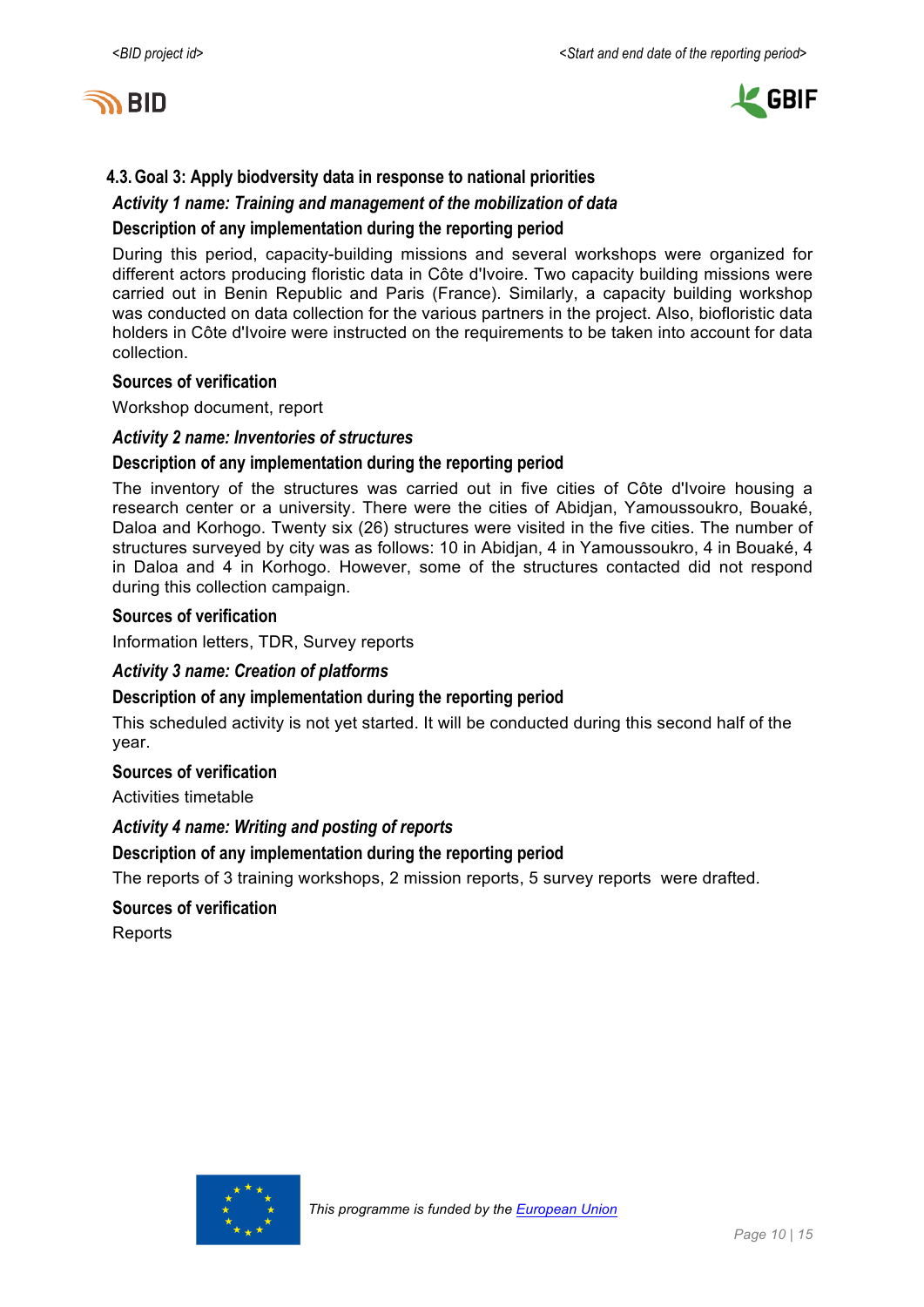



## **4.3.Goal 3: Apply biodversity data in response to national priorities**

#### *Activity 1 name: Training and management of the mobilization of data*

#### **Description of any implementation during the reporting period**

During this period, capacity-building missions and several workshops were organized for different actors producing floristic data in Côte d'Ivoire. Two capacity building missions were carried out in Benin Republic and Paris (France). Similarly, a capacity building workshop was conducted on data collection for the various partners in the project. Also, biofloristic data holders in Côte d'Ivoire were instructed on the requirements to be taken into account for data collection.

#### **Sources of verification**

Workshop document, report

#### *Activity 2 name: Inventories of structures*

#### **Description of any implementation during the reporting period**

The inventory of the structures was carried out in five cities of Côte d'Ivoire housing a research center or a university. There were the cities of Abidjan, Yamoussoukro, Bouaké, Daloa and Korhogo. Twenty six (26) structures were visited in the five cities. The number of structures surveyed by city was as follows: 10 in Abidjan, 4 in Yamoussoukro, 4 in Bouaké, 4 in Daloa and 4 in Korhogo. However, some of the structures contacted did not respond during this collection campaign.

#### **Sources of verification**

Information letters, TDR, Survey reports

#### *Activity 3 name: Creation of platforms*

#### **Description of any implementation during the reporting period**

This scheduled activity is not yet started. It will be conducted during this second half of the year.

#### **Sources of verification**

Activities timetable

#### *Activity 4 name: Writing and posting of reports*

#### **Description of any implementation during the reporting period**

The reports of 3 training workshops, 2 mission reports, 5 survey reports were drafted.

#### **Sources of verification**

**Reports** 

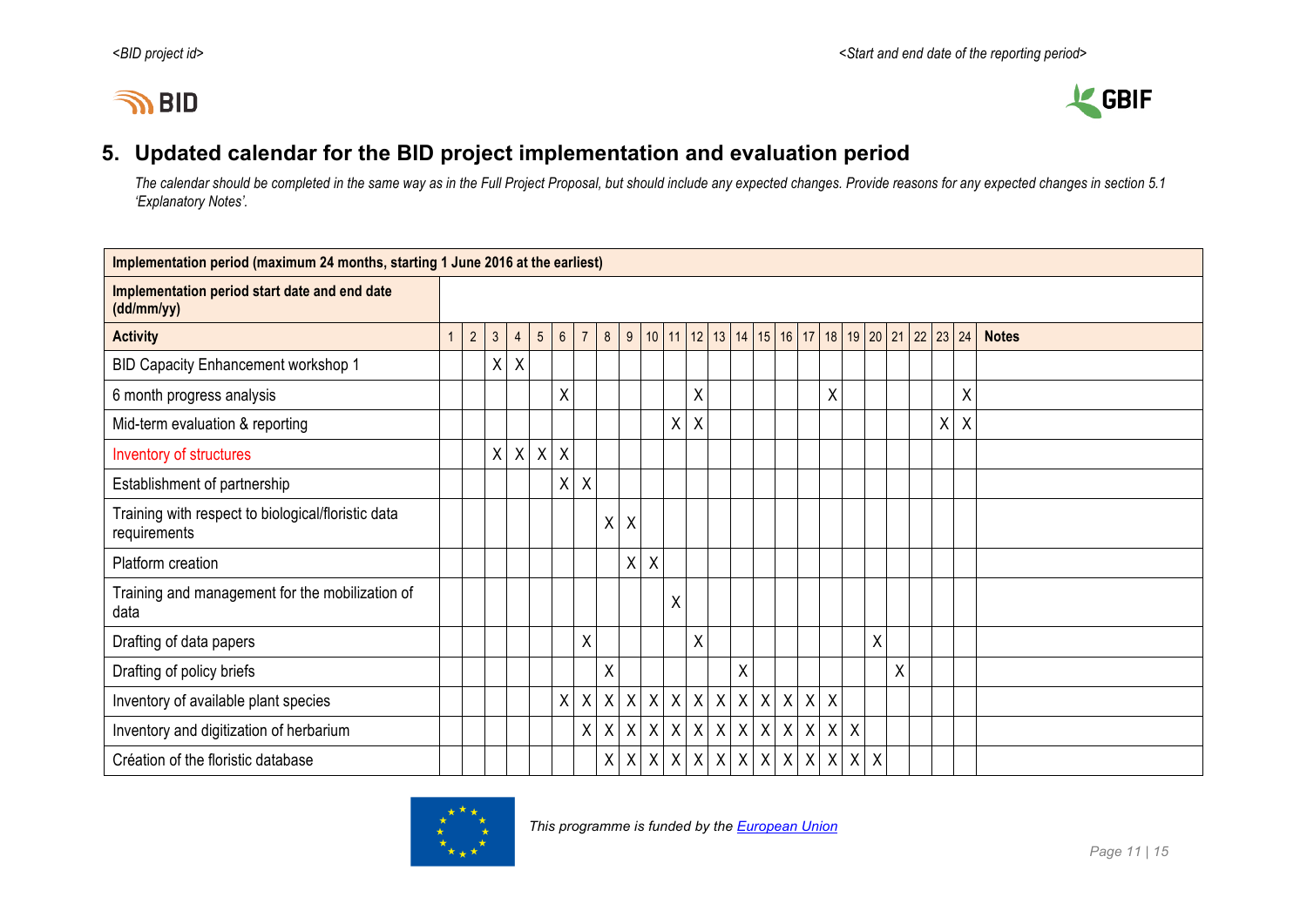



## **5. Updated calendar for the BID project implementation and evaluation period**

*The calendar should be completed in the same way as in the Full Project Proposal, but should include any expected changes. Provide reasons for any expected changes in section 5.1 'Explanatory Notes'.*

| Implementation period (maximum 24 months, starting 1 June 2016 at the earliest) |  |            |                |              |            |                 |                |              |   |                           |              |              |                           |                                                                          |                  |              |              |                           |              |         |   |   |         |              |  |  |
|---------------------------------------------------------------------------------|--|------------|----------------|--------------|------------|-----------------|----------------|--------------|---|---------------------------|--------------|--------------|---------------------------|--------------------------------------------------------------------------|------------------|--------------|--------------|---------------------------|--------------|---------|---|---|---------|--------------|--|--|
| Implementation period start date and end date<br>(dd/mm/yy)                     |  |            |                |              |            |                 |                |              |   |                           |              |              |                           |                                                                          |                  |              |              |                           |              |         |   |   |         |              |  |  |
| <b>Activity</b>                                                                 |  | $\sqrt{2}$ | $\mathfrak{Z}$ | 4            | $\sqrt{5}$ | $6\overline{6}$ | $\overline{7}$ | 8            | 9 |                           |              |              |                           | 10   11   12   13   14   15   16   17   18   19   20   21   22   23   24 |                  |              |              |                           |              |         |   |   |         | <b>Notes</b> |  |  |
| <b>BID Capacity Enhancement workshop 1</b>                                      |  |            | X              | $\mathsf{X}$ |            |                 |                |              |   |                           |              |              |                           |                                                                          |                  |              |              |                           |              |         |   |   |         |              |  |  |
| 6 month progress analysis                                                       |  |            |                |              |            | Χ               |                |              |   |                           |              | Χ            |                           |                                                                          |                  |              |              | X                         |              |         |   |   | X       |              |  |  |
| Mid-term evaluation & reporting                                                 |  |            |                |              |            |                 |                |              |   |                           | X            | X            |                           |                                                                          |                  |              |              |                           |              |         |   | X | $\sf X$ |              |  |  |
| Inventory of structures                                                         |  |            | $\mathsf{X}$   | $\mathsf{X}$ | X          | X               |                |              |   |                           |              |              |                           |                                                                          |                  |              |              |                           |              |         |   |   |         |              |  |  |
| Establishment of partnership                                                    |  |            |                |              |            | X               | Χ              |              |   |                           |              |              |                           |                                                                          |                  |              |              |                           |              |         |   |   |         |              |  |  |
| Training with respect to biological/floristic data<br>requirements              |  |            |                |              |            |                 |                | χ            | X |                           |              |              |                           |                                                                          |                  |              |              |                           |              |         |   |   |         |              |  |  |
| Platform creation                                                               |  |            |                |              |            |                 |                |              | X | $\boldsymbol{\mathsf{X}}$ |              |              |                           |                                                                          |                  |              |              |                           |              |         |   |   |         |              |  |  |
| Training and management for the mobilization of<br>data                         |  |            |                |              |            |                 |                |              |   |                           | X            |              |                           |                                                                          |                  |              |              |                           |              |         |   |   |         |              |  |  |
| Drafting of data papers                                                         |  |            |                |              |            |                 | X              |              |   |                           |              | Χ            |                           |                                                                          |                  |              |              |                           |              | Χ       |   |   |         |              |  |  |
| Drafting of policy briefs                                                       |  |            |                |              |            |                 |                | Χ            |   |                           |              |              |                           | Χ                                                                        |                  |              |              |                           |              |         | Χ |   |         |              |  |  |
| Inventory of available plant species                                            |  |            |                |              |            | $\mathsf{X}$    | X              | $\mathsf{X}$ |   | $X$ $X$                   | $\mathsf{X}$ | $\mathsf{X}$ | $\boldsymbol{\mathsf{X}}$ | $\mathsf{X}$                                                             | $\boldsymbol{X}$ | $\mathsf{X}$ | $\mathsf{X}$ | $\boldsymbol{\mathsf{X}}$ |              |         |   |   |         |              |  |  |
| Inventory and digitization of herbarium                                         |  |            |                |              |            |                 | X              | $\mathsf{X}$ |   | $X$ $X$                   |              | $X$ $X$      |                           | x   x   x   x                                                            |                  |              |              | $x \mid x$                | $\mathsf{X}$ |         |   |   |         |              |  |  |
| Création of the floristic database                                              |  |            |                |              |            |                 |                | $\mathsf{X}$ | X | $\sf X$                   | $\sf X$      | $\mathsf{X}$ | $\mathsf{X}$              | $\boldsymbol{X}$                                                         |                  | $x \mid x$   | X            | $\mathsf{X}$              |              | $X$ $X$ |   |   |         |              |  |  |

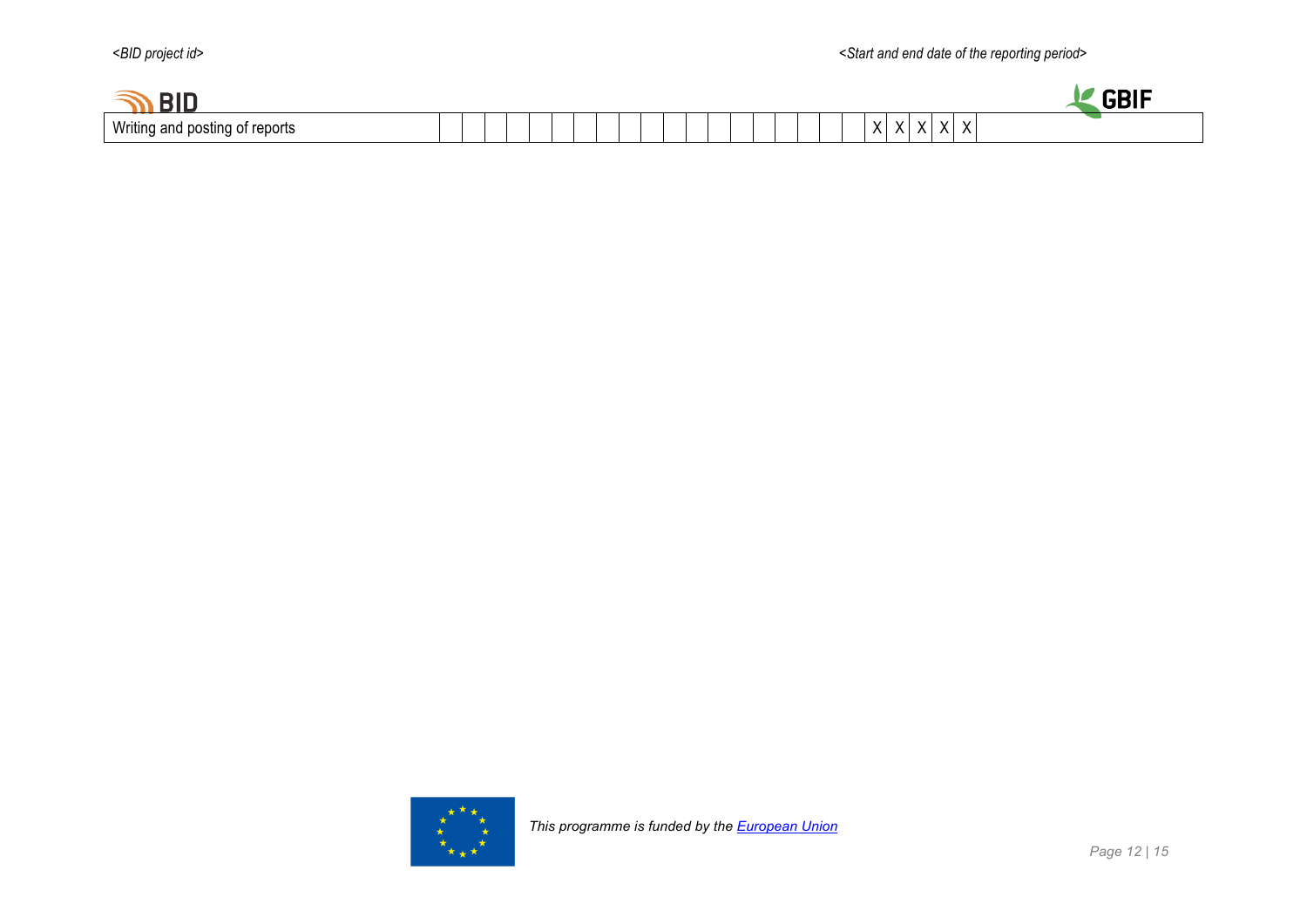

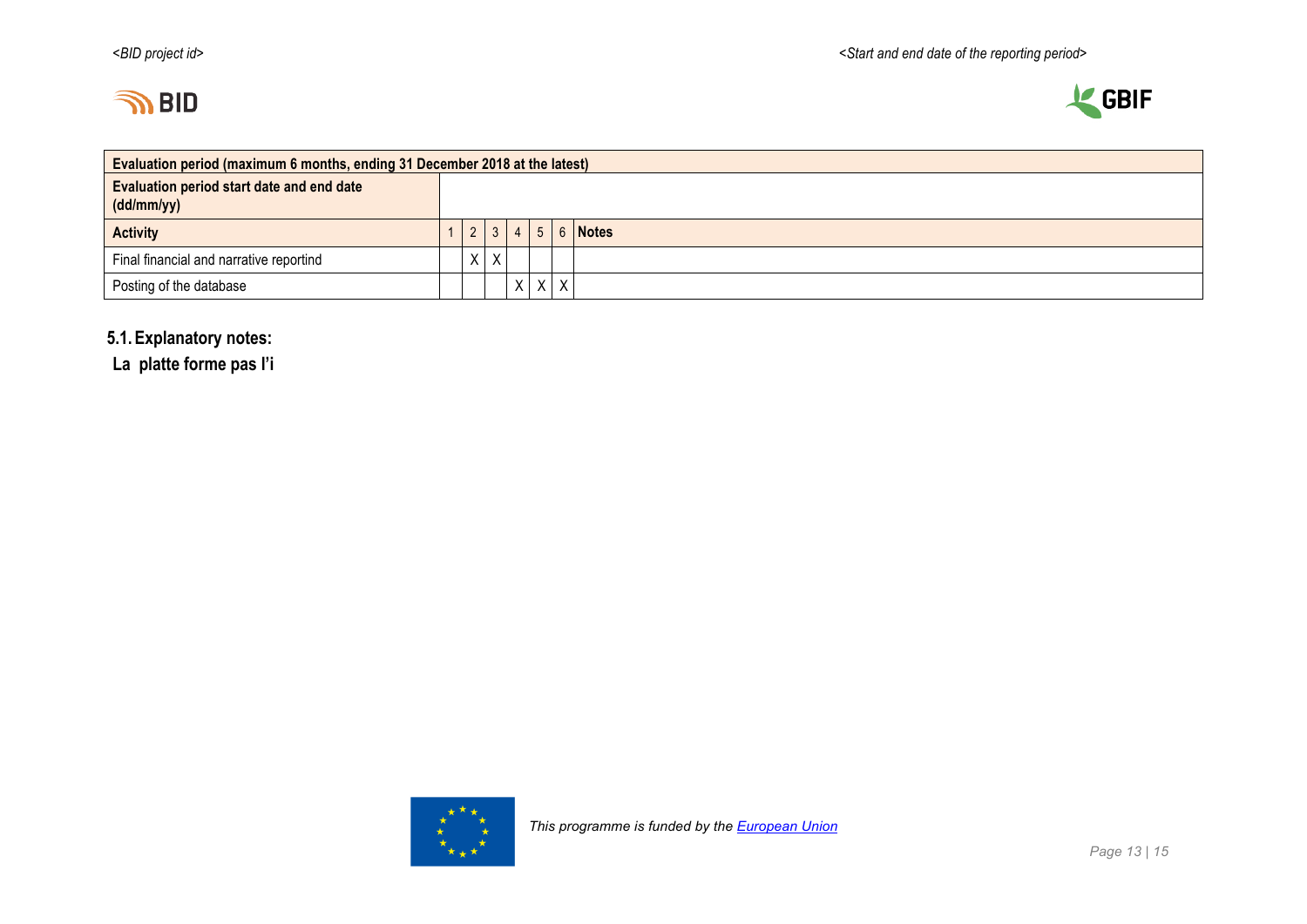



| Evaluation period (maximum 6 months, ending 31 December 2018 at the latest) |  |                 |                |            |         |   |         |  |  |  |
|-----------------------------------------------------------------------------|--|-----------------|----------------|------------|---------|---|---------|--|--|--|
| <b>Evaluation period start date and end date</b><br>(dd/mm/yy)              |  |                 |                |            |         |   |         |  |  |  |
| <b>Activity</b>                                                             |  | $\vert 2 \vert$ | 3 <sup>1</sup> | $4 \mid 5$ |         |   | 6 Notes |  |  |  |
| Final financial and narrative reportind                                     |  | X               | $\mathsf{X}$   |            |         |   |         |  |  |  |
| Posting of the database                                                     |  |                 |                |            | $X$ $X$ | X |         |  |  |  |

## **5.1.Explanatory notes:**

**La platte forme pas l'i**

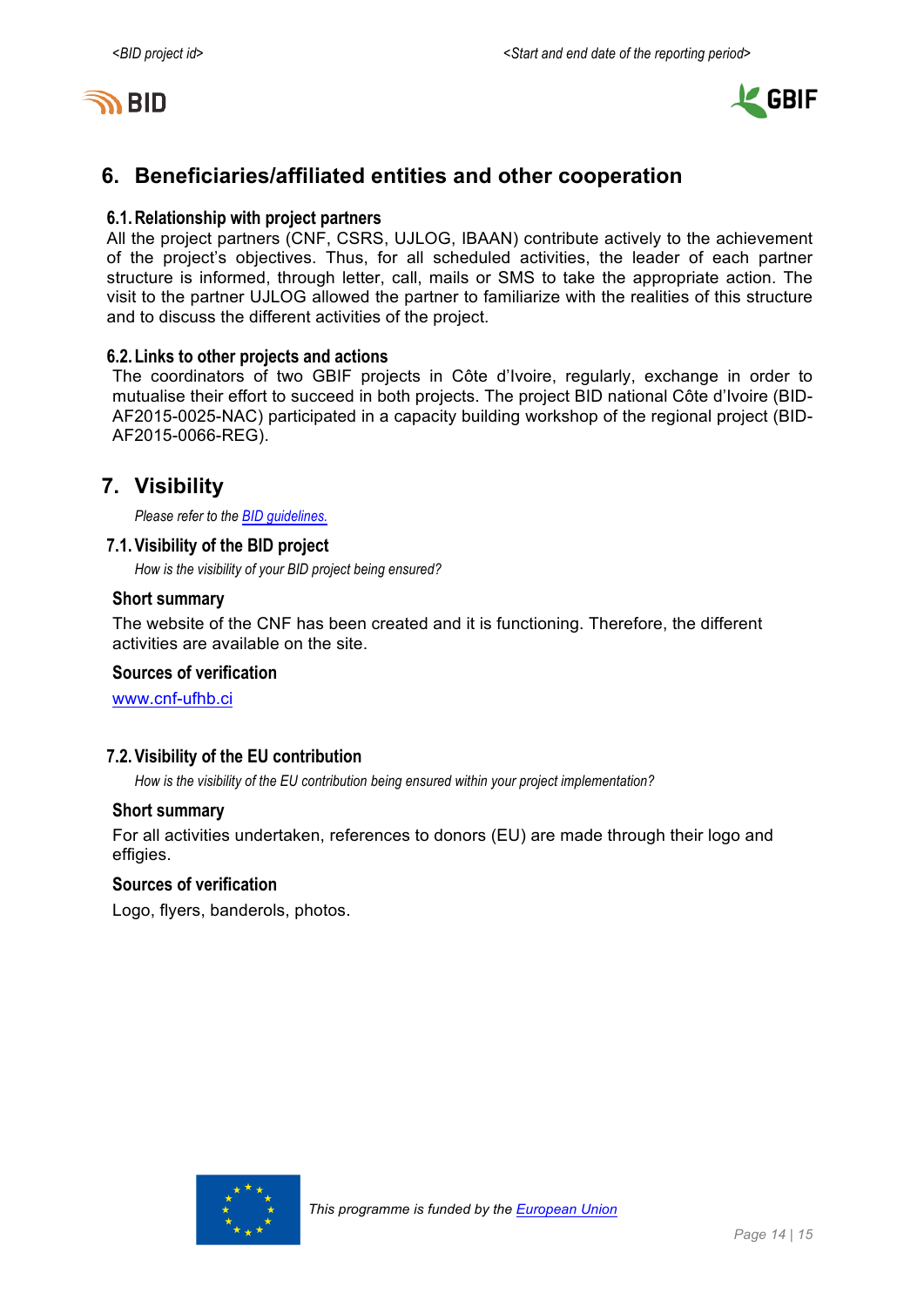



## **6. Beneficiaries/affiliated entities and other cooperation**

### **6.1.Relationship with project partners**

All the project partners (CNF, CSRS, UJLOG, IBAAN) contribute actively to the achievement of the project's objectives. Thus, for all scheduled activities, the leader of each partner structure is informed, through letter, call, mails or SMS to take the appropriate action. The visit to the partner UJLOG allowed the partner to familiarize with the realities of this structure and to discuss the different activities of the project.

#### **6.2.Links to other projects and actions**

The coordinators of two GBIF projects in Côte d'Ivoire, regularly, exchange in order to mutualise their effort to succeed in both projects. The project BID national Côte d'Ivoire (BID-AF2015-0025-NAC) participated in a capacity building workshop of the regional project (BID-AF2015-0066-REG).

## **7. Visibility**

*Please refer to the BID guidelines.*

## **7.1.Visibility of the BID project**

*How is the visibility of your BID project being ensured?*

#### **Short summary**

The website of the CNF has been created and it is functioning. Therefore, the different activities are available on the site.

#### **Sources of verification**

www.cnf-ufhb.ci

## **7.2.Visibility of the EU contribution**

*How is the visibility of the EU contribution being ensured within your project implementation?*

#### **Short summary**

For all activities undertaken, references to donors (EU) are made through their logo and effigies.

#### **Sources of verification**

Logo, flyers, banderols, photos.